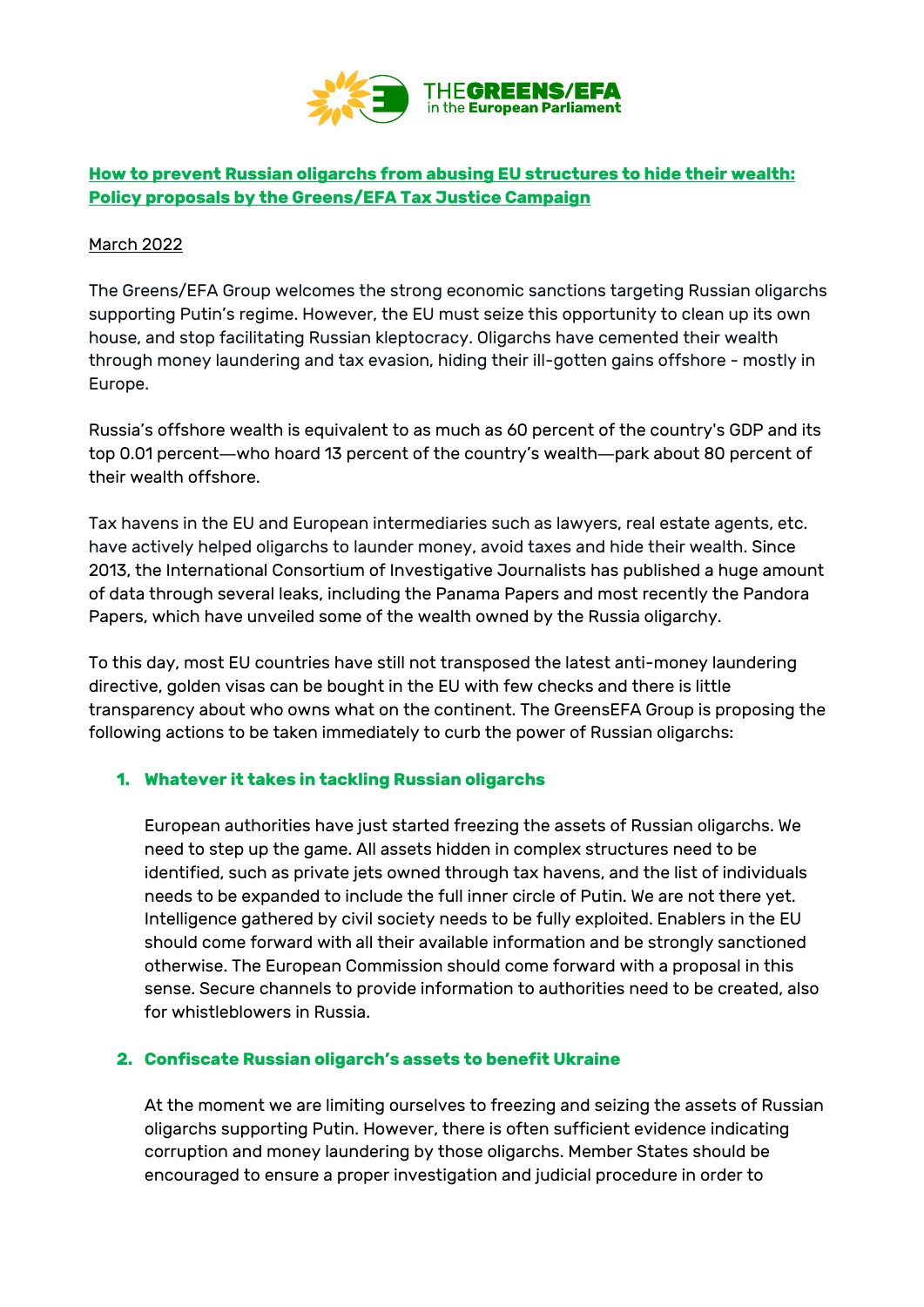

# **How to prevent Russian oligarchs from abusing EU structures to hide their wealth: Policy proposals by the Greens/EFA Tax Justice Campaign**

### March 2022

The Greens/EFA Group welcomes the strong economic sanctions targeting Russian oligarchs supporting Putin's regime. However, the EU must seize this opportunity to clean up its own house, and stop facilitating Russian kleptocracy. Oligarchs have cemented their wealth through money laundering and tax evasion, hiding their ill-gotten gains offshore - mostly in Europe.

Russia's offshore wealth is equivalent to as much as 60 percent of the country's GDP and its top 0.01 percent―who hoard 13 percent of the country's wealth―park about 80 percent of their wealth offshore.

Tax havens in the EU and European intermediaries such as lawyers, real estate agents, etc. have actively helped oligarchs to launder money, avoid taxes and hide their wealth. Since 2013, the International Consortium of Investigative Journalists has published a huge amount of data through several leaks, including the Panama Papers and most recently the Pandora Papers, which have unveiled some of the wealth owned by the Russia oligarchy.

To this day, most EU countries have still not transposed the latest anti-money laundering directive, golden visas can be bought in the EU with few checks and there is little transparency about who owns what on the continent. The GreensEFA Group is proposing the following actions to be taken immediately to curb the power of Russian oligarchs:

### **1. Whatever it takes in tackling Russian oligarchs**

European authorities have just started freezing the assets of Russian oligarchs. We need to step up the game. All assets hidden in complex structures need to be identified, such as private jets owned through tax havens, and the list of individuals needs to be expanded to include the full inner circle of Putin. We are not there yet. Intelligence gathered by civil society needs to be fully exploited. Enablers in the EU should come forward with all their available information and be strongly sanctioned otherwise. The European Commission should come forward with a proposal in this sense. Secure channels to provide information to authorities need to be created, also for whistleblowers in Russia.

### **2. Confiscate Russian oligarch's assets to benefit Ukraine**

At the moment we are limiting ourselves to freezing and seizing the assets of Russian oligarchs supporting Putin. However, there is often sufficient evidence indicating corruption and money laundering by those oligarchs. Member States should be encouraged to ensure a proper investigation and judicial procedure in order to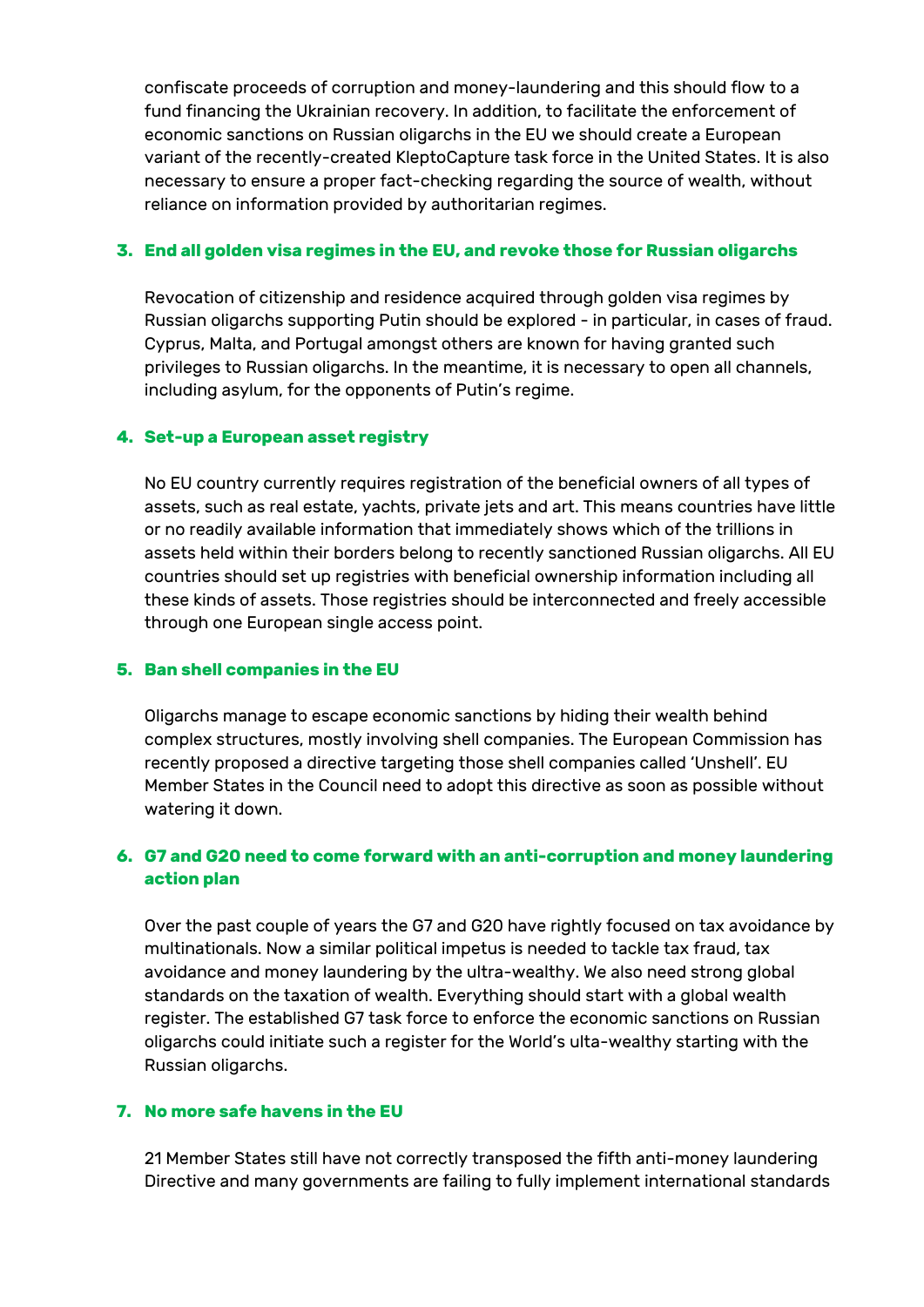confiscate proceeds of corruption and money-laundering and this should flow to a fund financing the Ukrainian recovery. In addition, to facilitate the enforcement of economic sanctions on Russian oligarchs in the EU we should create a European variant of the recently-created KleptoCapture task force in the United States. It is also necessary to ensure a proper fact-checking regarding the source of wealth, without reliance on information provided by authoritarian regimes.

### **3. End all golden visa regimes in the EU, and revoke those for Russian oligarchs**

Revocation of citizenship and residence acquired through golden visa regimes by Russian oligarchs supporting Putin should be explored - in particular, in cases of fraud. Cyprus, Malta, and Portugal amongst others are known for having granted such privileges to Russian oligarchs. In the meantime, it is necessary to open all channels, including asylum, for the opponents of Putin's regime.

### **4. Set-up a European asset registry**

No EU country currently requires registration of the beneficial owners of all types of assets, such as real estate, yachts, private jets and art. This means countries have little or no readily available information that immediately shows which of the trillions in assets held within their borders belong to recently sanctioned Russian oligarchs. All EU countries should set up registries with beneficial ownership information including all these kinds of assets. Those registries should be interconnected and freely accessible through one European single access point.

### **5. Ban shell companies in the EU**

Oligarchs manage to escape economic sanctions by hiding their wealth behind complex structures, mostly involving shell companies. The European Commission has recently proposed a directive targeting those shell companies called 'Unshell'. EU Member States in the Council need to adopt this directive as soon as possible without watering it down.

## **6. G7 and G20 need to come forward with an anti-corruption and money laundering action plan**

Over the past couple of years the G7 and G20 have rightly focused on tax avoidance by multinationals. Now a similar political impetus is needed to tackle tax fraud, tax avoidance and money laundering by the ultra-wealthy. We also need strong global standards on the taxation of wealth. Everything should start with a global wealth register. The established G7 task force to enforce the economic sanctions on Russian oligarchs could initiate such a register for the World's ulta-wealthy starting with the Russian oligarchs.

### **7. No more safe havens in the EU**

21 Member States still have not correctly transposed the fifth anti-money laundering Directive and many governments are failing to fully implement international standards